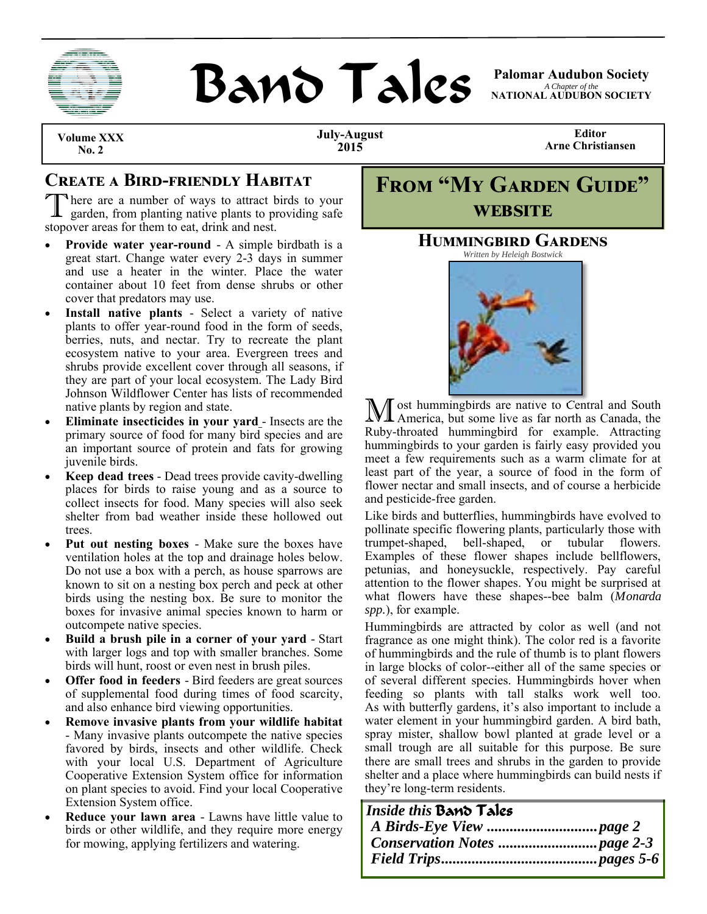

# **BAND TAILS** Palomar Audubon Society

*A Chapter of the*  **NATIONAL AUDUBON SOCIETY** 

**Volume XXX**<br>No. 2

**July-August 2015** 

**Editor Arne Christiansen** 

#### **CREATE A BIRD-FRIENDLY HABITAT**

There are a number of ways to attract birds to your garden, from planting native plants to providing safe stopover areas for them to eat, drink and nest.

- **Provide water year-round**  A simple birdbath is a great start. Change water every 2-3 days in summer and use a heater in the winter. Place the water container about 10 feet from dense shrubs or other cover that predators may use.
- **Install native plants** Select a variety of native plants to offer year-round food in the form of seeds, berries, nuts, and nectar. Try to recreate the plant ecosystem native to your area. Evergreen trees and shrubs provide excellent cover through all seasons, if they are part of your local ecosystem. The Lady Bird Johnson Wildflower Center has lists of recommended native plants by region and state.
- **Eliminate insecticides in your yard** Insects are the primary source of food for many bird species and are an important source of protein and fats for growing juvenile birds.
- **Keep dead trees** Dead trees provide cavity-dwelling places for birds to raise young and as a source to collect insects for food. Many species will also seek shelter from bad weather inside these hollowed out trees.
- **Put out nesting boxes**  Make sure the boxes have ventilation holes at the top and drainage holes below. Do not use a box with a perch, as house sparrows are known to sit on a nesting box perch and peck at other birds using the nesting box. Be sure to monitor the boxes for invasive animal species known to harm or outcompete native species.
- **Build a brush pile in a corner of your yard**  Start with larger logs and top with smaller branches. Some birds will hunt, roost or even nest in brush piles.
- **Offer food in feeders**  Bird feeders are great sources of supplemental food during times of food scarcity, and also enhance bird viewing opportunities.
- **Remove invasive plants from your wildlife habitat**  - Many invasive plants outcompete the native species favored by birds, insects and other wildlife. Check with your local U.S. Department of Agriculture Cooperative Extension System office for information on plant species to avoid. Find your local Cooperative Extension System office.
- **Reduce your lawn area**  Lawns have little value to birds or other wildlife, and they require more energy for mowing, applying fertilizers and watering.

|  | <b>FROM "MY GARDEN GUIDE"</b> |  |
|--|-------------------------------|--|
|  | <b>WEBSITE</b>                |  |

#### **HUMMINGBIRD GARDENS**

*Written by Heleigh Bostwick* 



M ost hummingbirds are native to Central and South America, but some live as far north as Canada, the Ruby-throated hummingbird for example. Attracting hummingbirds to your garden is fairly easy provided you meet a few requirements such as a warm climate for at least part of the year, a source of food in the form of flower nectar and small insects, and of course a herbicide and pesticide-free garden.

Like birds and butterflies, hummingbirds have evolved to pollinate specific flowering plants, particularly those with trumpet-shaped, bell-shaped, or tubular flowers. Examples of these flower shapes include bellflowers, petunias, and honeysuckle, respectively. Pay careful attention to the flower shapes. You might be surprised at what flowers have these shapes--bee balm (*Monarda spp.*), for example.

Hummingbirds are attracted by color as well (and not fragrance as one might think). The color red is a favorite of hummingbirds and the rule of thumb is to plant flowers in large blocks of color--either all of the same species or of several different species. Hummingbirds hover when feeding so plants with tall stalks work well too. As with butterfly gardens, it's also important to include a water element in your hummingbird garden. A bird bath, spray mister, shallow bowl planted at grade level or a small trough are all suitable for this purpose. Be sure there are small trees and shrubs in the garden to provide shelter and a place where hummingbirds can build nests if they're long-term residents.

| Inside this Band Tales |  |
|------------------------|--|
|                        |  |
|                        |  |
|                        |  |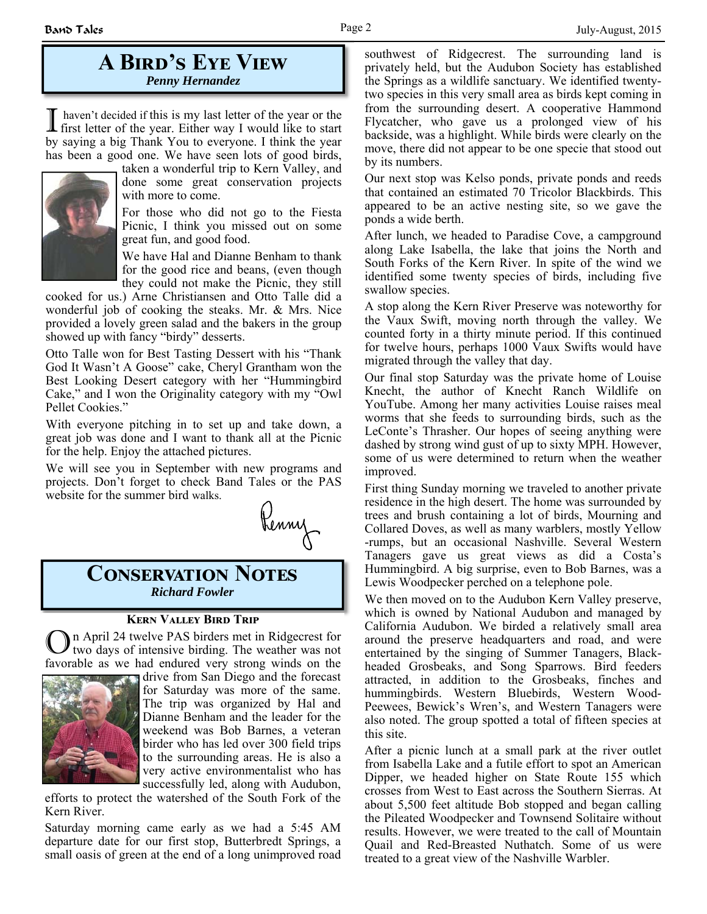#### **A BIRD'S EYE VIEW** *Penny Hernandez*

I haven't decided if this is my last letter of the year or the first letter of the year. Either way I would like to start by saying a big Thank You to everyone. I think the year has been a good one. We have seen lots of good birds,



taken a wonderful trip to Kern Valley, and done some great conservation projects with more to come.

For those who did not go to the Fiesta Picnic, I think you missed out on some great fun, and good food.

We have Hal and Dianne Benham to thank for the good rice and beans, (even though they could not make the Picnic, they still

cooked for us.) Arne Christiansen and Otto Talle did a wonderful job of cooking the steaks. Mr. & Mrs. Nice provided a lovely green salad and the bakers in the group showed up with fancy "birdy" desserts.

Otto Talle won for Best Tasting Dessert with his "Thank God It Wasn't A Goose" cake, Cheryl Grantham won the Best Looking Desert category with her "Hummingbird Cake," and I won the Originality category with my "Owl Pellet Cookies."

With everyone pitching in to set up and take down, a great job was done and I want to thank all at the Picnic for the help. Enjoy the attached pictures.

We will see you in September with new programs and projects. Don't forget to check Band Tales or the PAS website for the summer bird walks.



#### **CONSERVATION NOTES** *Richard Fowler*

#### **KERN VALLEY BIRD TRIP**

O n April 24 twelve PAS birders met in Ridgecrest for two days of intensive birding. The weather was not favorable as we had endured very strong winds on the



drive from San Diego and the forecast for Saturday was more of the same. The trip was organized by Hal and Dianne Benham and the leader for the weekend was Bob Barnes, a veteran birder who has led over 300 field trips to the surrounding areas. He is also a very active environmentalist who has successfully led, along with Audubon,

efforts to protect the watershed of the South Fork of the Kern River.

Saturday morning came early as we had a 5:45 AM departure date for our first stop, Butterbredt Springs, a small oasis of green at the end of a long unimproved road southwest of Ridgecrest. The surrounding land is privately held, but the Audubon Society has established the Springs as a wildlife sanctuary. We identified twentytwo species in this very small area as birds kept coming in from the surrounding desert. A cooperative Hammond Flycatcher, who gave us a prolonged view of his backside, was a highlight. While birds were clearly on the move, there did not appear to be one specie that stood out by its numbers.

Our next stop was Kelso ponds, private ponds and reeds that contained an estimated 70 Tricolor Blackbirds. This appeared to be an active nesting site, so we gave the ponds a wide berth.

After lunch, we headed to Paradise Cove, a campground along Lake Isabella, the lake that joins the North and South Forks of the Kern River. In spite of the wind we identified some twenty species of birds, including five swallow species.

A stop along the Kern River Preserve was noteworthy for the Vaux Swift, moving north through the valley. We counted forty in a thirty minute period. If this continued for twelve hours, perhaps 1000 Vaux Swifts would have migrated through the valley that day.

Our final stop Saturday was the private home of Louise Knecht, the author of Knecht Ranch Wildlife on YouTube. Among her many activities Louise raises meal worms that she feeds to surrounding birds, such as the LeConte's Thrasher. Our hopes of seeing anything were dashed by strong wind gust of up to sixty MPH. However, some of us were determined to return when the weather improved.

First thing Sunday morning we traveled to another private residence in the high desert. The home was surrounded by trees and brush containing a lot of birds, Mourning and Collared Doves, as well as many warblers, mostly Yellow -rumps, but an occasional Nashville. Several Western Tanagers gave us great views as did a Costa's Hummingbird. A big surprise, even to Bob Barnes, was a Lewis Woodpecker perched on a telephone pole.

We then moved on to the Audubon Kern Valley preserve, which is owned by National Audubon and managed by California Audubon. We birded a relatively small area around the preserve headquarters and road, and were entertained by the singing of Summer Tanagers, Blackheaded Grosbeaks, and Song Sparrows. Bird feeders attracted, in addition to the Grosbeaks, finches and hummingbirds. Western Bluebirds, Western Wood-Peewees, Bewick's Wren's, and Western Tanagers were also noted. The group spotted a total of fifteen species at this site.

After a picnic lunch at a small park at the river outlet from Isabella Lake and a futile effort to spot an American Dipper, we headed higher on State Route 155 which crosses from West to East across the Southern Sierras. At about 5,500 feet altitude Bob stopped and began calling the Pileated Woodpecker and Townsend Solitaire without results. However, we were treated to the call of Mountain Quail and Red-Breasted Nuthatch. Some of us were treated to a great view of the Nashville Warbler.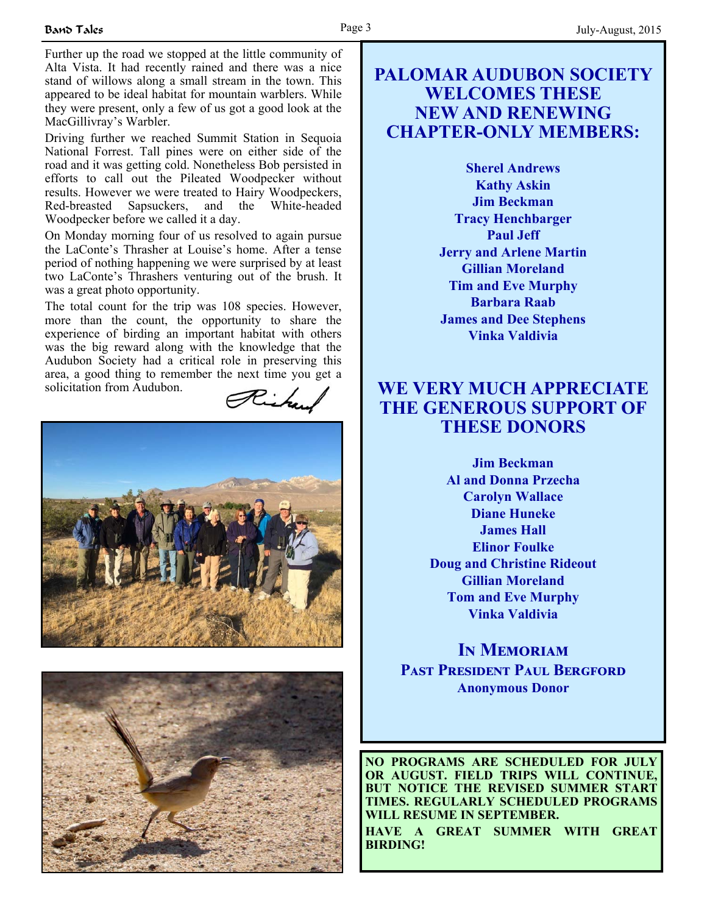Further up the road we stopped at the little community of Alta Vista. It had recently rained and there was a nice stand of willows along a small stream in the town. This appeared to be ideal habitat for mountain warblers. While they were present, only a few of us got a good look at the MacGillivray's Warbler.

Driving further we reached Summit Station in Sequoia National Forrest. Tall pines were on either side of the road and it was getting cold. Nonetheless Bob persisted in efforts to call out the Pileated Woodpecker without results. However we were treated to Hairy Woodpeckers, Red-breasted Sapsuckers, and the White-headed Woodpecker before we called it a day.

On Monday morning four of us resolved to again pursue the LaConte's Thrasher at Louise's home. After a tense period of nothing happening we were surprised by at least two LaConte's Thrashers venturing out of the brush. It was a great photo opportunity.

The total count for the trip was 108 species. However, more than the count, the opportunity to share the experience of birding an important habitat with others was the big reward along with the knowledge that the Audubon Society had a critical role in preserving this area, a good thing to remember the next time you get a solicitation from Audubon.

Richard





## **PALOMAR AUDUBON SOCIETY WELCOMES THESE NEW AND RENEWING CHAPTER-ONLY MEMBERS:**

**Sherel Andrews Kathy Askin Jim Beckman Tracy Henchbarger Paul Jeff Jerry and Arlene Martin Gillian Moreland Tim and Eve Murphy Barbara Raab James and Dee Stephens Vinka Valdivia** 

# **WE VERY MUCH APPRECIATE THE GENEROUS SUPPORT OF THESE DONORS**

**Jim Beckman Al and Donna Przecha Carolyn Wallace Diane Huneke James Hall Elinor Foulke Doug and Christine Rideout Gillian Moreland Tom and Eve Murphy Vinka Valdivia** 

**IN MEMORIAM PAST PRESIDENT PAUL BERGFORD Anonymous Donor** 

**NO PROGRAMS ARE SCHEDULED FOR JULY OR AUGUST. FIELD TRIPS WILL CONTINUE, BUT NOTICE THE REVISED SUMMER START TIMES. REGULARLY SCHEDULED PROGRAMS WILL RESUME IN SEPTEMBER.** 

**HAVE A GREAT SUMMER WITH GREAT BIRDING!**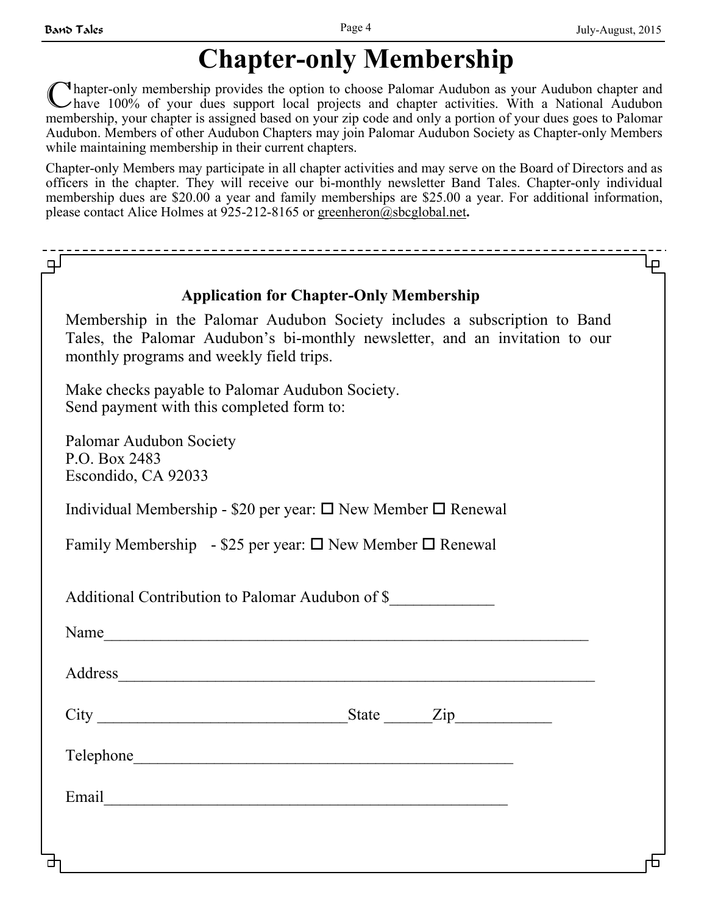# **Chapter-only Membership**

<sup>I</sup> hapter-only membership provides the option to choose Palomar Audubon as your Audubon chapter and have 100% of your dues support local projects and chapter activities. With a National Audubon membership, your chapter is assigned based on your zip code and only a portion of your dues goes to Palomar Audubon. Members of other Audubon Chapters may join Palomar Audubon Society as Chapter-only Members while maintaining membership in their current chapters.

Chapter-only Members may participate in all chapter activities and may serve on the Board of Directors and as officers in the chapter. They will receive our bi-monthly newsletter Band Tales. Chapter-only individual membership dues are \$20.00 a year and family memberships are \$25.00 a year. For additional information, please contact Alice Holmes at 925-212-8165 or greenheron@sbcglobal.net**.**

| 밀 |                                                                                                                                                                                                       |   |
|---|-------------------------------------------------------------------------------------------------------------------------------------------------------------------------------------------------------|---|
|   | <b>Application for Chapter-Only Membership</b>                                                                                                                                                        |   |
|   | Membership in the Palomar Audubon Society includes a subscription to Band<br>Tales, the Palomar Audubon's bi-monthly newsletter, and an invitation to our<br>monthly programs and weekly field trips. |   |
|   | Make checks payable to Palomar Audubon Society.<br>Send payment with this completed form to:                                                                                                          |   |
|   | Palomar Audubon Society<br>P.O. Box 2483<br>Escondido, CA 92033                                                                                                                                       |   |
|   | Individual Membership - \$20 per year: $\Box$ New Member $\Box$ Renewal                                                                                                                               |   |
|   | Family Membership - \$25 per year: $\Box$ New Member $\Box$ Renewal                                                                                                                                   |   |
|   | Additional Contribution to Palomar Audubon of \$                                                                                                                                                      |   |
|   | Name                                                                                                                                                                                                  |   |
|   |                                                                                                                                                                                                       |   |
|   |                                                                                                                                                                                                       |   |
|   | Telephone                                                                                                                                                                                             |   |
|   | Email                                                                                                                                                                                                 |   |
|   |                                                                                                                                                                                                       |   |
| ᆎ |                                                                                                                                                                                                       | 市 |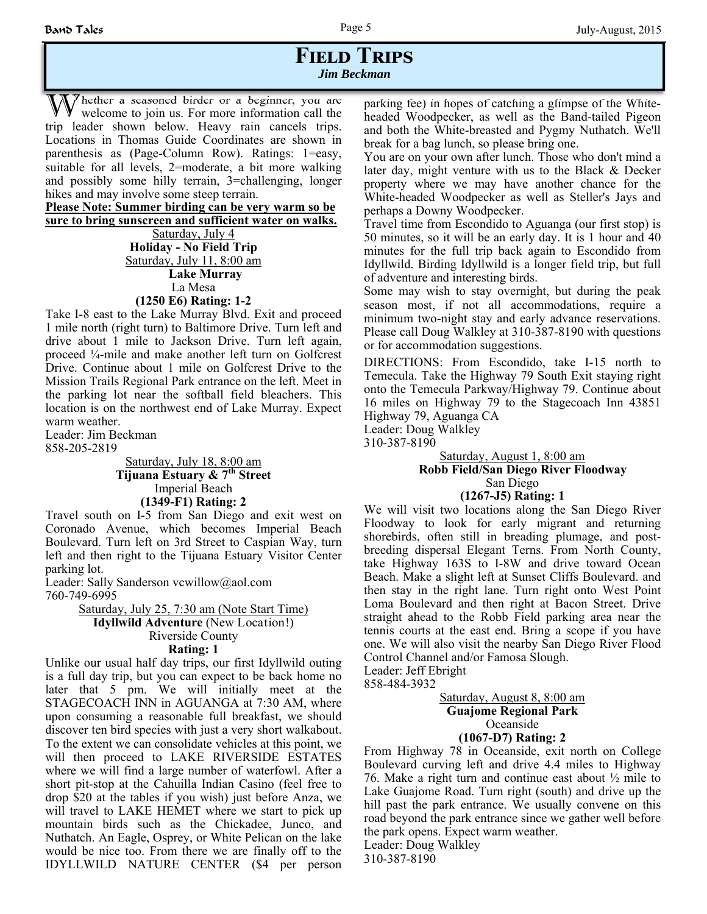#### **FIELD TRIPS** *Jim Beckman*

W hether a seasoned birder or a beginner, you are welcome to join us. For more information call the trip leader shown below. Heavy rain cancels trips. Locations in Thomas Guide Coordinates are shown in parenthesis as (Page-Column Row). Ratings: 1=easy, suitable for all levels, 2=moderate, a bit more walking and possibly some hilly terrain, 3=challenging, longer hikes and may involve some steep terrain.

**Please Note: Summer birding can be very warm so be sure to bring sunscreen and sufficient water on walks.**

> Saturday, July 4 **Holiday - No Field Trip**  Saturday, July 11, 8:00 am  **Lake Murray**  La Mesa **(1250 E6) Rating: 1-2**

Take I-8 east to the Lake Murray Blvd. Exit and proceed 1 mile north (right turn) to Baltimore Drive. Turn left and drive about 1 mile to Jackson Drive. Turn left again, proceed ¼-mile and make another left turn on Golfcrest Drive. Continue about 1 mile on Golfcrest Drive to the Mission Trails Regional Park entrance on the left. Meet in the parking lot near the softball field bleachers. This location is on the northwest end of Lake Murray. Expect warm weather.

Leader: Jim Beckman 858-205-2819

> Saturday, July 18, 8:00 am **Tijuana Estuary & 7th Street** Imperial Beach **(1349-F1) Rating: 2**

Travel south on I-5 from San Diego and exit west on Coronado Avenue, which becomes Imperial Beach Boulevard. Turn left on 3rd Street to Caspian Way, turn left and then right to the Tijuana Estuary Visitor Center parking lot.

Leader: Sally Sanderson vcwillow@aol.com 760-749-6995

#### Saturday, July 25, 7:30 am (Note Start Time) **Idyllwild Adventure** (New Location!) Riverside County **Rating: 1**

Unlike our usual half day trips, our first Idyllwild outing is a full day trip, but you can expect to be back home no later that 5 pm. We will initially meet at the STAGECOACH INN in AGUANGA at 7:30 AM, where upon consuming a reasonable full breakfast, we should discover ten bird species with just a very short walkabout. To the extent we can consolidate vehicles at this point, we will then proceed to LAKE RIVERSIDE ESTATES where we will find a large number of waterfowl. After a short pit-stop at the Cahuilla Indian Casino (feel free to drop \$20 at the tables if you wish) just before Anza, we will travel to LAKE HEMET where we start to pick up mountain birds such as the Chickadee, Junco, and Nuthatch. An Eagle, Osprey, or White Pelican on the lake would be nice too. From there we are finally off to the IDYLLWILD NATURE CENTER (\$4 per person parking fee) in hopes of catching a glimpse of the Whiteheaded Woodpecker, as well as the Band-tailed Pigeon and both the White-breasted and Pygmy Nuthatch. We'll break for a bag lunch, so please bring one.

You are on your own after lunch. Those who don't mind a later day, might venture with us to the Black & Decker property where we may have another chance for the White-headed Woodpecker as well as Steller's Jays and perhaps a Downy Woodpecker.

Travel time from Escondido to Aguanga (our first stop) is 50 minutes, so it will be an early day. It is 1 hour and 40 minutes for the full trip back again to Escondido from Idyllwild. Birding Idyllwild is a longer field trip, but full of adventure and interesting birds.

Some may wish to stay overnight, but during the peak season most, if not all accommodations, require a minimum two-night stay and early advance reservations. Please call Doug Walkley at 310-387-8190 with questions or for accommodation suggestions.

DIRECTIONS: From Escondido, take I-15 north to Temecula. Take the Highway 79 South Exit staying right onto the Temecula Parkway/Highway 79. Continue about 16 miles on Highway 79 to the Stagecoach Inn 43851 Highway 79, Aguanga CA

Leader: Doug Walkley

310-387-8190

#### Saturday, August 1, 8:00 am  **Robb Field/San Diego River Floodway**  San Diego

#### **(1267-J5) Rating: 1**

We will visit two locations along the San Diego River Floodway to look for early migrant and returning shorebirds, often still in breading plumage, and postbreeding dispersal Elegant Terns. From North County, take Highway 163S to I-8W and drive toward Ocean Beach. Make a slight left at Sunset Cliffs Boulevard. and then stay in the right lane. Turn right onto West Point Loma Boulevard and then right at Bacon Street. Drive straight ahead to the Robb Field parking area near the tennis courts at the east end. Bring a scope if you have one. We will also visit the nearby San Diego River Flood Control Channel and/or Famosa Slough.

Leader: Jeff Ebright

858-484-3932

Saturday, August 8, 8:00 am **Guajome Regional Park** Oceanside **(1067-D7) Rating: 2**

From Highway 78 in Oceanside, exit north on College Boulevard curving left and drive 4.4 miles to Highway 76. Make a right turn and continue east about ½ mile to Lake Guajome Road. Turn right (south) and drive up the hill past the park entrance. We usually convene on this road beyond the park entrance since we gather well before the park opens. Expect warm weather.

Leader: Doug Walkley 310-387-8190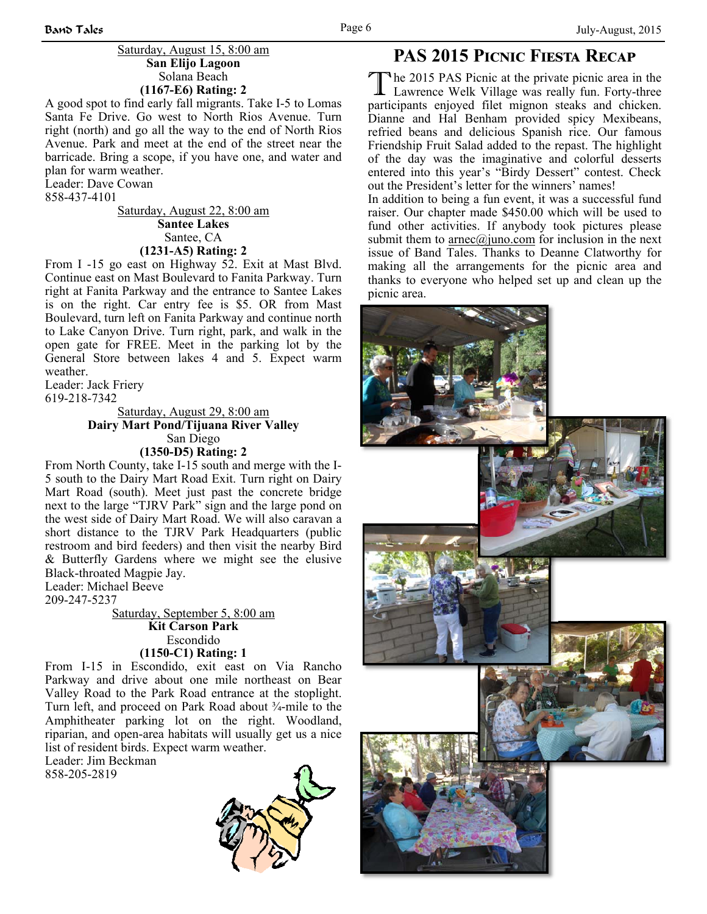#### Saturday, August 15, 8:00 am **San Elijo Lagoon** Solana Beach **(1167-E6) Rating: 2**

A good spot to find early fall migrants. Take I-5 to Lomas Santa Fe Drive. Go west to North Rios Avenue. Turn right (north) and go all the way to the end of North Rios Avenue. Park and meet at the end of the street near the barricade. Bring a scope, if you have one, and water and plan for warm weather.

Leader: Dave Cowan 858-437-4101

Saturday, August 22, 8:00 am **Santee Lakes** Santee, CA **(1231-A5) Rating: 2**

From I -15 go east on Highway 52. Exit at Mast Blvd. Continue east on Mast Boulevard to Fanita Parkway. Turn right at Fanita Parkway and the entrance to Santee Lakes is on the right. Car entry fee is \$5. OR from Mast Boulevard, turn left on Fanita Parkway and continue north to Lake Canyon Drive. Turn right, park, and walk in the open gate for FREE. Meet in the parking lot by the General Store between lakes 4 and 5. Expect warm weather.

Leader: Jack Friery

619-218-7342

Saturday, August 29, 8:00 am **Dairy Mart Pond/Tijuana River Valley** San Diego **(1350-D5) Rating: 2**

From North County, take I-15 south and merge with the I-5 south to the Dairy Mart Road Exit. Turn right on Dairy Mart Road (south). Meet just past the concrete bridge next to the large "TJRV Park" sign and the large pond on the west side of Dairy Mart Road. We will also caravan a short distance to the TJRV Park Headquarters (public restroom and bird feeders) and then visit the nearby Bird & Butterfly Gardens where we might see the elusive Black-throated Magpie Jay. Leader: Michael Beeve

209-247-5237

Saturday, September 5, 8:00 am **Kit Carson Park** Escondido **(1150-C1) Rating: 1**

From I-15 in Escondido, exit east on Via Rancho Parkway and drive about one mile northeast on Bear Valley Road to the Park Road entrance at the stoplight. Turn left, and proceed on Park Road about ¾-mile to the Amphitheater parking lot on the right. Woodland, riparian, and open-area habitats will usually get us a nice list of resident birds. Expect warm weather.

Leader: Jim Beckman 858-205-2819



# **PAS 2015 PICNIC FIESTA RECAP**

The 2015 PAS Picnic at the private picnic area in the Lawrence Welk Village was really fun. Forty-three participants enjoyed filet mignon steaks and chicken. Dianne and Hal Benham provided spicy Mexibeans, refried beans and delicious Spanish rice. Our famous Friendship Fruit Salad added to the repast. The highlight of the day was the imaginative and colorful desserts entered into this year's "Birdy Dessert" contest. Check out the President's letter for the winners' names!

In addition to being a fun event, it was a successful fund raiser. Our chapter made \$450.00 which will be used to fund other activities. If anybody took pictures please submit them to arnec@juno.com for inclusion in the next issue of Band Tales. Thanks to Deanne Clatworthy for making all the arrangements for the picnic area and thanks to everyone who helped set up and clean up the picnic area.

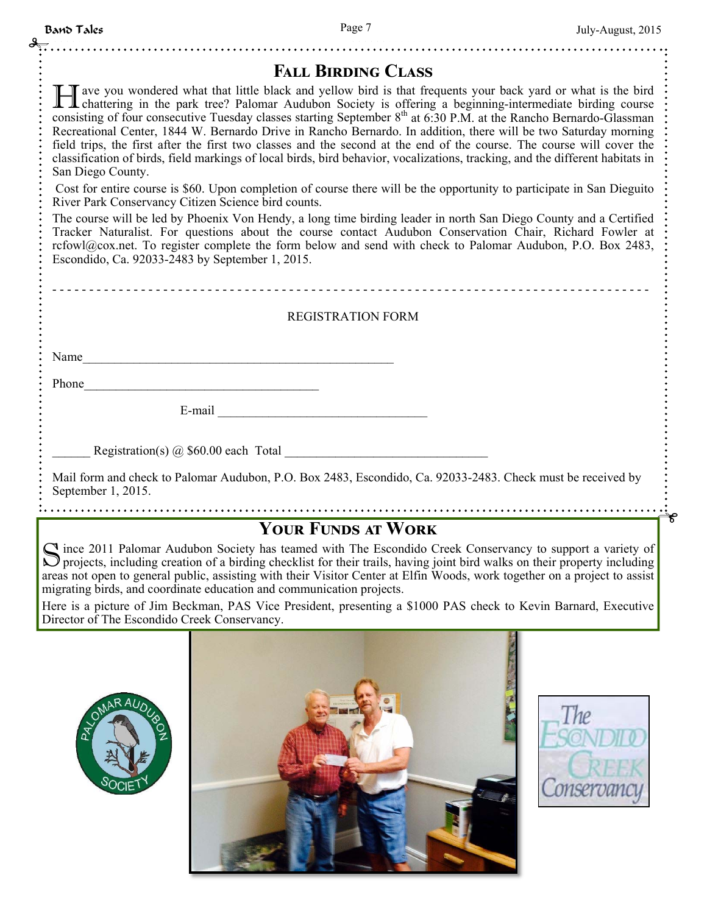. . . . . . . . . . . . . . . .